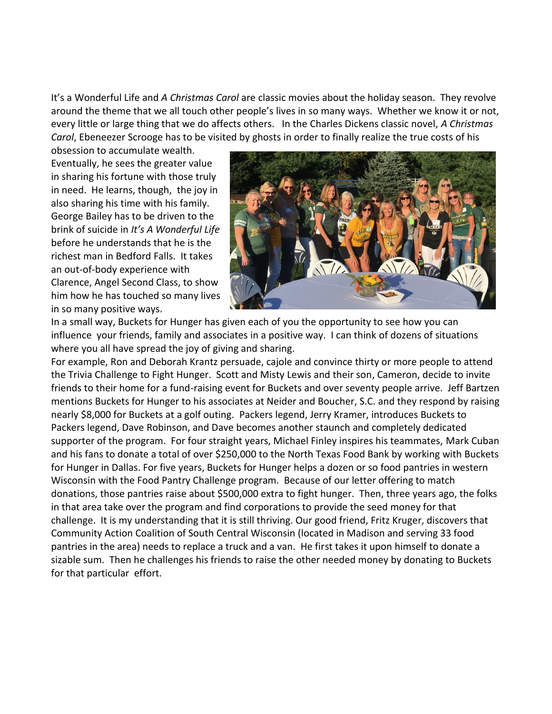It's a Wonderful Life and *A Christmas Carol* are classic movies about the holiday season. They revolve around the theme that we all touch other people's lives in so many ways. Whether we know it or not, every little or large thing that we do affects others. In the Charles Dickens classic novel, *A Christmas Carol*, Ebeneezer Scrooge has to be visited by ghosts in order to finally realize the true costs of his

obsession to accumulate wealth. Eventually, he sees the greater value in sharing his fortune with those truly in need. He learns, though, the joy in also sharing his time with his family. George Bailey has to be driven to the brink of suicide in *It's A Wonderful Life* before he understands that he is the richest man in Bedford Falls. It takes an out-of-body experience with Clarence, Angel Second Class, to show him how he has touched so many lives in so many positive ways.



In a small way, Buckets for Hunger has given each of you the opportunity to see how you can influence your friends, family and associates in a positive way. I can think of dozens of situations where you all have spread the joy of giving and sharing.

For example, Ron and Deborah Krantz persuade, cajole and convince thirty or more people to attend the Trivia Challenge to Fight Hunger. Scott and Misty Lewis and their son, Cameron, decide to invite friends to their home for a fund-raising event for Buckets and over seventy people arrive. Jeff Bartzen mentions Buckets for Hunger to his associates at Neider and Boucher, S.C. and they respond by raising nearly \$8,000 for Buckets at a golf outing. Packers legend, Jerry Kramer, introduces Buckets to Packers legend, Dave Robinson, and Dave becomes another staunch and completely dedicated supporter of the program. For four straight years, Michael Finley inspires his teammates, Mark Cuban and his fans to donate a total of over \$250,000 to the North Texas Food Bank by working with Buckets for Hunger in Dallas. For five years, Buckets for Hunger helps a dozen or so food pantries in western Wisconsin with the Food Pantry Challenge program. Because of our letter offering to match donations, those pantries raise about \$500,000 extra to fight hunger. Then, three years ago, the folks in that area take over the program and find corporations to provide the seed money for that challenge. It is my understanding that it is still thriving. Our good friend, Fritz Kruger, discovers that Community Action Coalition of South Central Wisconsin (located in Madison and serving 33 food pantries in the area) needs to replace a truck and a van. He first takes it upon himself to donate a sizable sum. Then he challenges his friends to raise the other needed money by donating to Buckets for that particular effort.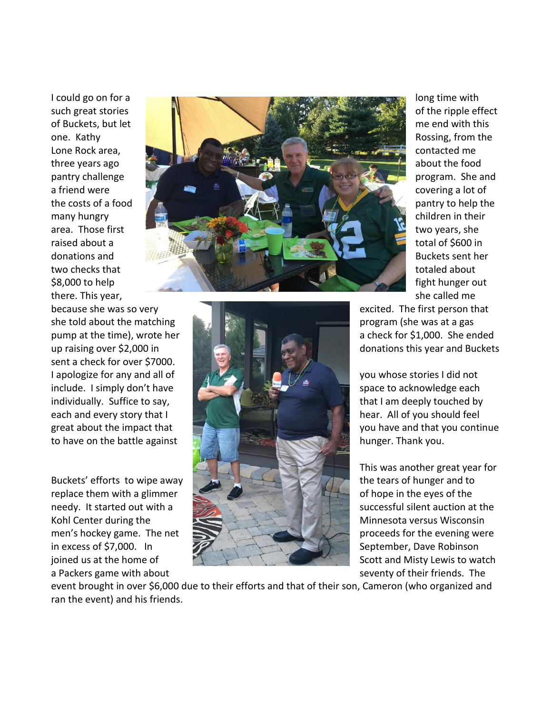sent a check for over \$7000.

a Packers game with about seventy of their friends. The seventy of their friends. The





This was another great year for

event brought in over \$6,000 due to their efforts and that of their son, Cameron (who organized and ran the event) and his friends.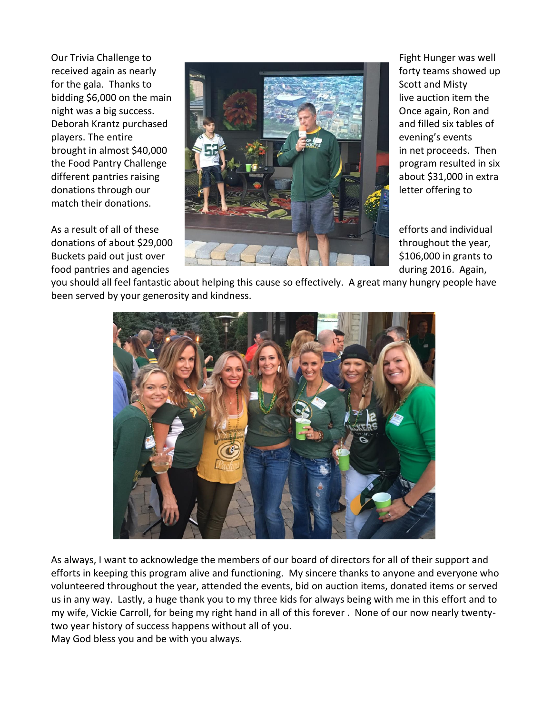match their donations.



you should all feel fantastic about helping this cause so effectively. A great many hungry people have been served by your generosity and kindness.



As always, I want to acknowledge the members of our board of directors for all of their support and efforts in keeping this program alive and functioning. My sincere thanks to anyone and everyone who volunteered throughout the year, attended the events, bid on auction items, donated items or served us in any way. Lastly, a huge thank you to my three kids for always being with me in this effort and to my wife, Vickie Carroll, for being my right hand in all of this forever . None of our now nearly twentytwo year history of success happens without all of you. May God bless you and be with you always.